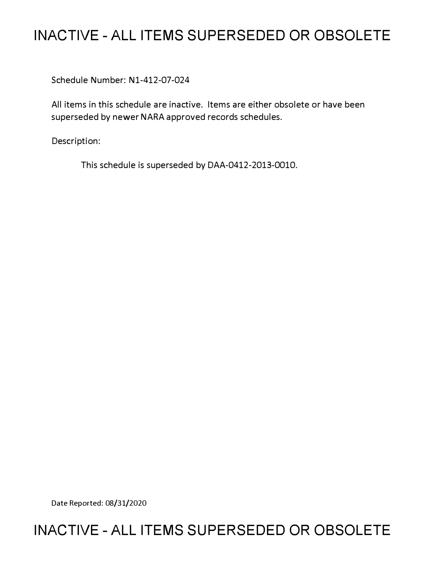# **INACTIVE - ALL ITEMS SUPERSEDED OR OBSOLETE**

Schedule Number: Nl-412-07-024

All items in this schedule are inactive. Items are either obsolete or have been superseded by newer NARA approved records schedules.

Description:

This schedule is superseded by DAA-0412-2013-0010.

Date Reported: 08/31/2020

# **INACTIVE - ALL ITEMS SUPERSEDED OR OBSOLETE**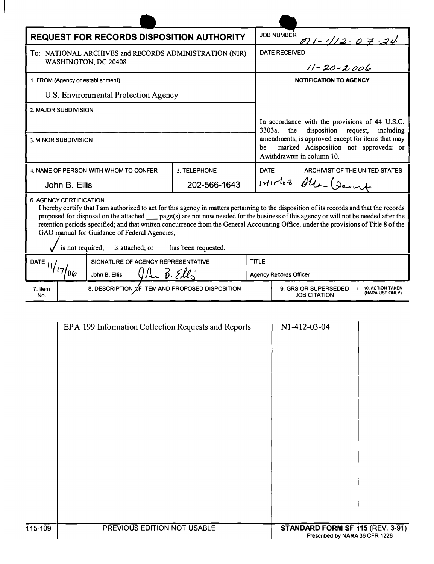| <b>REQUEST FOR RECORDS DISPOSITION AUTHORITY</b>                                                                                                                                                                                                                                                                                                                                                                                                                                                                                                                      |  |                                                     |             | <b>JOB NUMBER</b><br>$01 - 412 - 07 - 24$                                                                                                                                                                                                       |                                |                                            |
|-----------------------------------------------------------------------------------------------------------------------------------------------------------------------------------------------------------------------------------------------------------------------------------------------------------------------------------------------------------------------------------------------------------------------------------------------------------------------------------------------------------------------------------------------------------------------|--|-----------------------------------------------------|-------------|-------------------------------------------------------------------------------------------------------------------------------------------------------------------------------------------------------------------------------------------------|--------------------------------|--------------------------------------------|
| To: NATIONAL ARCHIVES and RECORDS ADMINISTRATION (NIR)                                                                                                                                                                                                                                                                                                                                                                                                                                                                                                                |  |                                                     |             | <b>DATE RECEIVED</b>                                                                                                                                                                                                                            |                                |                                            |
| WASHINGTON, DC 20408                                                                                                                                                                                                                                                                                                                                                                                                                                                                                                                                                  |  |                                                     |             | $11 - 20 - 2006$                                                                                                                                                                                                                                |                                |                                            |
| 1. FROM (Agency or establishment)                                                                                                                                                                                                                                                                                                                                                                                                                                                                                                                                     |  |                                                     |             | <b>NOTIFICATION TO AGENCY</b>                                                                                                                                                                                                                   |                                |                                            |
| U.S. Environmental Protection Agency                                                                                                                                                                                                                                                                                                                                                                                                                                                                                                                                  |  |                                                     |             |                                                                                                                                                                                                                                                 |                                |                                            |
| 2. MAJOR SUBDIVISION                                                                                                                                                                                                                                                                                                                                                                                                                                                                                                                                                  |  |                                                     |             |                                                                                                                                                                                                                                                 |                                |                                            |
|                                                                                                                                                                                                                                                                                                                                                                                                                                                                                                                                                                       |  |                                                     |             | In accordance with the provisions of 44 U.S.C.<br>disposition<br>3303a,<br>the<br>request,<br>including<br>amendments, is approved except for items that may<br>marked Adisposition not approved≅ or<br>be<br>A withdrawn $\cong$ in column 10. |                                |                                            |
| 3. MINOR SUBDIVISION                                                                                                                                                                                                                                                                                                                                                                                                                                                                                                                                                  |  |                                                     |             |                                                                                                                                                                                                                                                 |                                |                                            |
| 4. NAME OF PERSON WITH WHOM TO CONFER                                                                                                                                                                                                                                                                                                                                                                                                                                                                                                                                 |  | 5. TELEPHONE                                        | <b>DATE</b> |                                                                                                                                                                                                                                                 | ARCHIVIST OF THE UNITED STATES |                                            |
| John B. Ellis                                                                                                                                                                                                                                                                                                                                                                                                                                                                                                                                                         |  | 202-566-1643                                        |             |                                                                                                                                                                                                                                                 | 1211-103 Alla (Server          |                                            |
| <b>6. AGENCY CERTIFICATION</b><br>I hereby certify that I am authorized to act for this agency in matters pertaining to the disposition of its records and that the records<br>proposed for disposal on the attached __ page(s) are not now needed for the business of this agency or will not be needed after the<br>retention periods specified; and that written concurrence from the General Accounting Office, under the provisions of Title 8 of the<br>GAO manual for Guidance of Federal Agencies,<br>is not required; is attached; or<br>has been requested. |  |                                                     |             |                                                                                                                                                                                                                                                 |                                |                                            |
| SIGNATURE OF AGENCY REPRESENTATIVE<br>DATE $\frac{1}{4}$                                                                                                                                                                                                                                                                                                                                                                                                                                                                                                              |  | <b>TITLE</b>                                        |             |                                                                                                                                                                                                                                                 |                                |                                            |
| $ln B. Ell_2$<br>John B. Ellis                                                                                                                                                                                                                                                                                                                                                                                                                                                                                                                                        |  |                                                     |             | <b>Agency Records Officer</b>                                                                                                                                                                                                                   |                                |                                            |
| 8. DESCRIPTION OF ITEM AND PROPOSED DISPOSITION<br>7. Item<br>No.                                                                                                                                                                                                                                                                                                                                                                                                                                                                                                     |  |                                                     |             | 9. GRS OR SUPERSEDED<br><b>JOB CITATION</b>                                                                                                                                                                                                     |                                | <b>10. ACTION TAKEN</b><br>(NARA USE ONLY) |
|                                                                                                                                                                                                                                                                                                                                                                                                                                                                                                                                                                       |  | EPA 199 Information Collection Requests and Reports |             |                                                                                                                                                                                                                                                 | N1-412-03-04                   |                                            |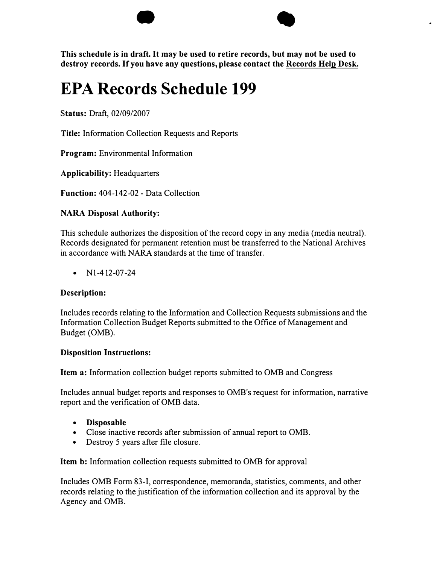**This schedule is in draft. It may be used to retire records, but may not be used to destroy records. If you have any questions, please contact the Records Help Desk.** 

 $\bullet$ 

# **EPA Records Schedule 199**

**Status:** Draft, 02/09/2007

**Title:** Information Collection Requests and Reports

**Program:** Environmental Information

**Applicability:** Headquarters

**Function:** 404-142-02 - Data Collection

# **NARA Disposal Authority:**

This schedule authorizes the disposition of the record copy in any media (media neutral). Records designated for permanent retention must be transferred to the National Archives in accordance with NARA standards at the time of transfer.

•  $N1-412-07-24$ 

# **Description:**

Includes records relating to the Information and Collection Requests submissions and the Information Collection Budget Reports submitted to the Office of Management and Budget (0MB).

# **Disposition Instructions:**

**Item a:** Information collection budget reports submitted to 0MB and Congress

Includes annual budget reports and responses to OMB's request for information, narrative report and the verification of 0MB data.

- **Disposable**
- Close inactive records after submission of annual report to 0MB.
- Destroy 5 years after file closure.

**Item b:** Information collection requests submitted to 0MB for approval

Includes 0MB Form 83-I, correspondence, memoranda, statistics, comments, and other records relating to the justification of the information collection and its approval by the Agency and 0MB.